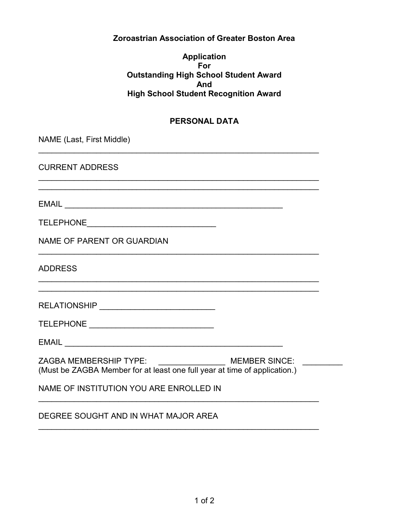### Zoroastrian Association of Greater Boston Area

#### Application For Outstanding High School Student Award And High School Student Recognition Award

#### PERSONAL DATA

 $\mathcal{L}_\text{max}$  , and the contribution of the contribution of the contribution of the contribution of the contribution of the contribution of the contribution of the contribution of the contribution of the contribution of t

\_\_\_\_\_\_\_\_\_\_\_\_\_\_\_\_\_\_\_\_\_\_\_\_\_\_\_\_\_\_\_\_\_\_\_\_\_\_\_\_\_\_\_\_\_\_\_\_\_\_\_\_\_\_\_\_\_\_\_\_\_\_\_

 $\mathcal{L}_\text{max}$  , and the contribution of the contribution of the contribution of the contribution of the contribution of the contribution of the contribution of the contribution of the contribution of the contribution of t \_\_\_\_\_\_\_\_\_\_\_\_\_\_\_\_\_\_\_\_\_\_\_\_\_\_\_\_\_\_\_\_\_\_\_\_\_\_\_\_\_\_\_\_\_\_\_\_\_\_\_\_\_\_\_\_\_\_\_\_\_\_\_

NAME (Last, First Middle)

CURRENT ADDRESS

EMAIL \_\_\_\_\_\_\_\_\_\_\_\_\_\_\_\_\_\_\_\_\_\_\_\_\_\_\_\_\_\_\_\_\_\_\_\_\_\_\_\_\_\_\_\_\_\_\_\_\_

|  |  |  | NAME OF PARENT OR GUARDIAN |
|--|--|--|----------------------------|
|--|--|--|----------------------------|

ADDRESS

RELATIONSHIP \_\_\_\_\_\_\_\_\_\_\_\_\_\_\_\_\_\_\_\_\_\_\_\_\_\_

| <b>TELEPHONE</b> |  |
|------------------|--|
|                  |  |

 $EMAIL$   $\qquad \qquad$ 

ZAGBA MEMBERSHIP TYPE: \_\_\_\_\_\_\_\_\_\_\_\_\_\_\_\_\_ MEMBER SINCE: \_\_\_\_\_\_\_\_\_ (Must be ZAGBA Member for at least one full year at time of application.)

\_\_\_\_\_\_\_\_\_\_\_\_\_\_\_\_\_\_\_\_\_\_\_\_\_\_\_\_\_\_\_\_\_\_\_\_\_\_\_\_\_\_\_\_\_\_\_\_\_\_\_\_\_\_\_\_\_\_\_\_\_\_\_

\_\_\_\_\_\_\_\_\_\_\_\_\_\_\_\_\_\_\_\_\_\_\_\_\_\_\_\_\_\_\_\_\_\_\_\_\_\_\_\_\_\_\_\_\_\_\_\_\_\_\_\_\_\_\_\_\_\_\_\_\_\_\_

NAME OF INSTITUTION YOU ARE ENROLLED IN

#### DEGREE SOUGHT AND IN WHAT MAJOR AREA